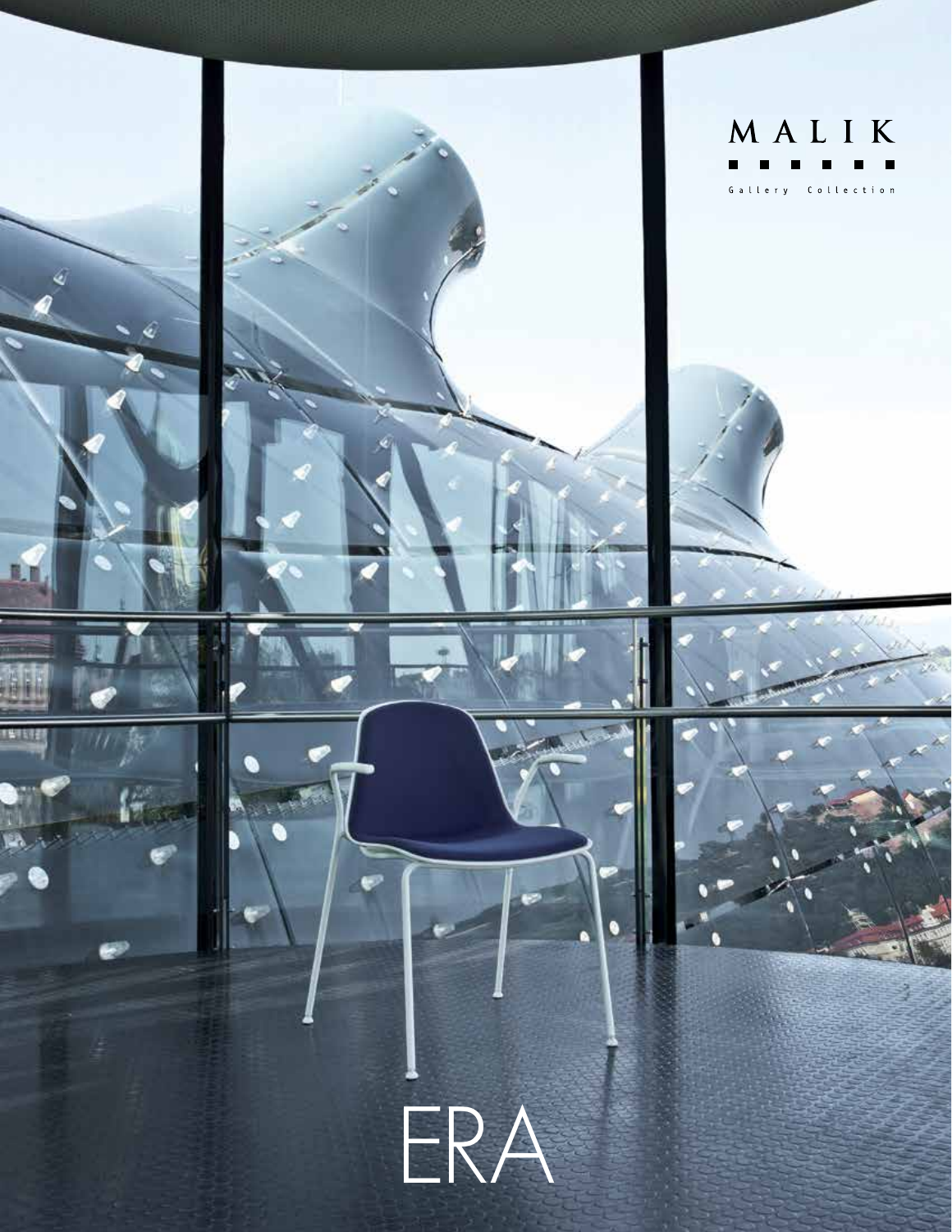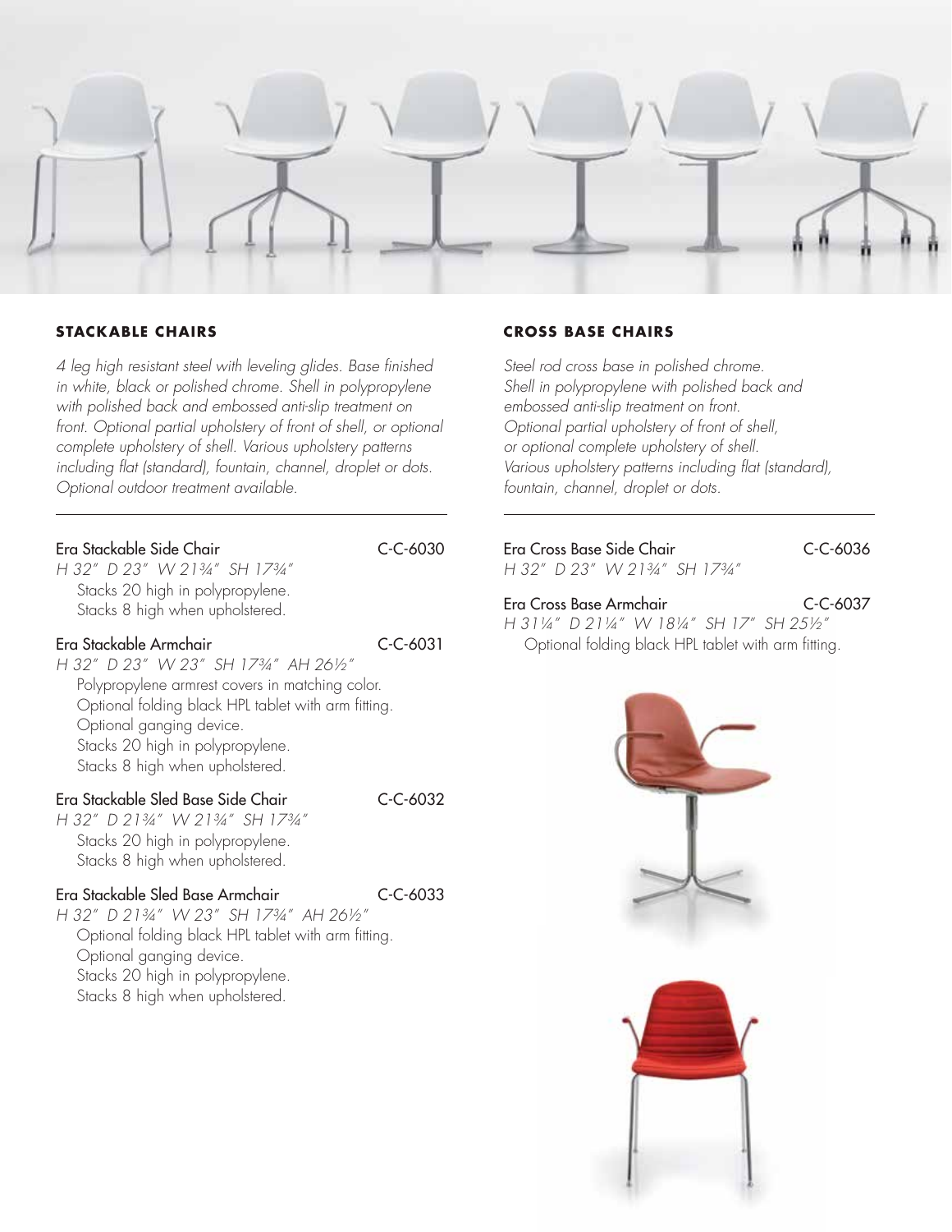

### **STACKABLE CHAIRS**

*4 leg high resistant steel with leveling glides. Base finished in white, black or polished chrome. Shell in polypropylene with polished back and embossed anti-slip treatment on*  front. Optional partial upholstery of front of shell, or optional *complete upholstery of shell. Various upholstery patterns including flat (standard), fountain, channel, droplet or dots. Optional outdoor treatment available.*

| Era Stackable Side Chair            |  | C-C-6030 |
|-------------------------------------|--|----------|
| $H$ 32" $D$ 23" $M/2134$ " SH 1734" |  |          |

*H 32" D 23" W 21¾" SH 17¾"* Stacks 20 high in polypropylene. Stacks 8 high when upholstered.

### Era Stackable Armchair C-C-6031

*H 32" D 23" W 23" SH 17¾" AH 26½"* Polypropylene armrest covers in matching color. Optional folding black HPL tablet with arm fitting. Optional ganging device. Stacks 20 high in polypropylene. Stacks 8 high when upholstered.

## Era Stackable Sled Base Side Chair C-C-6032

*H 32" D 21¾" W 21¾" SH 17¾"* Stacks 20 high in polypropylene. Stacks 8 high when upholstered.

### Era Stackable Sled Base Armchair C-C-6033

*H 32" D 21¾" W 23" SH 17¾" AH 26½"* Optional folding black HPL tablet with arm fitting. Optional ganging device. Stacks 20 high in polypropylene. Stacks 8 high when upholstered.

### **CROSS BASE CHAIRS**

*Steel rod cross base in polished chrome. Shell in polypropylene with polished back and embossed anti-slip treatment on front. Optional partial upholstery of front of shell, or optional complete upholstery of shell. Various upholstery patterns including flat (standard), fountain, channel, droplet or dots.*

# Era Cross Base Side Chair C-C-6036

*H 32" D 23" W 21¾" SH 17¾"*

Era Cross Base Armchair C-C-6037 *H 31¼" D 21¼" W 18¼" SH 17" SH 25½"* Optional folding black HPL tablet with arm fitting.

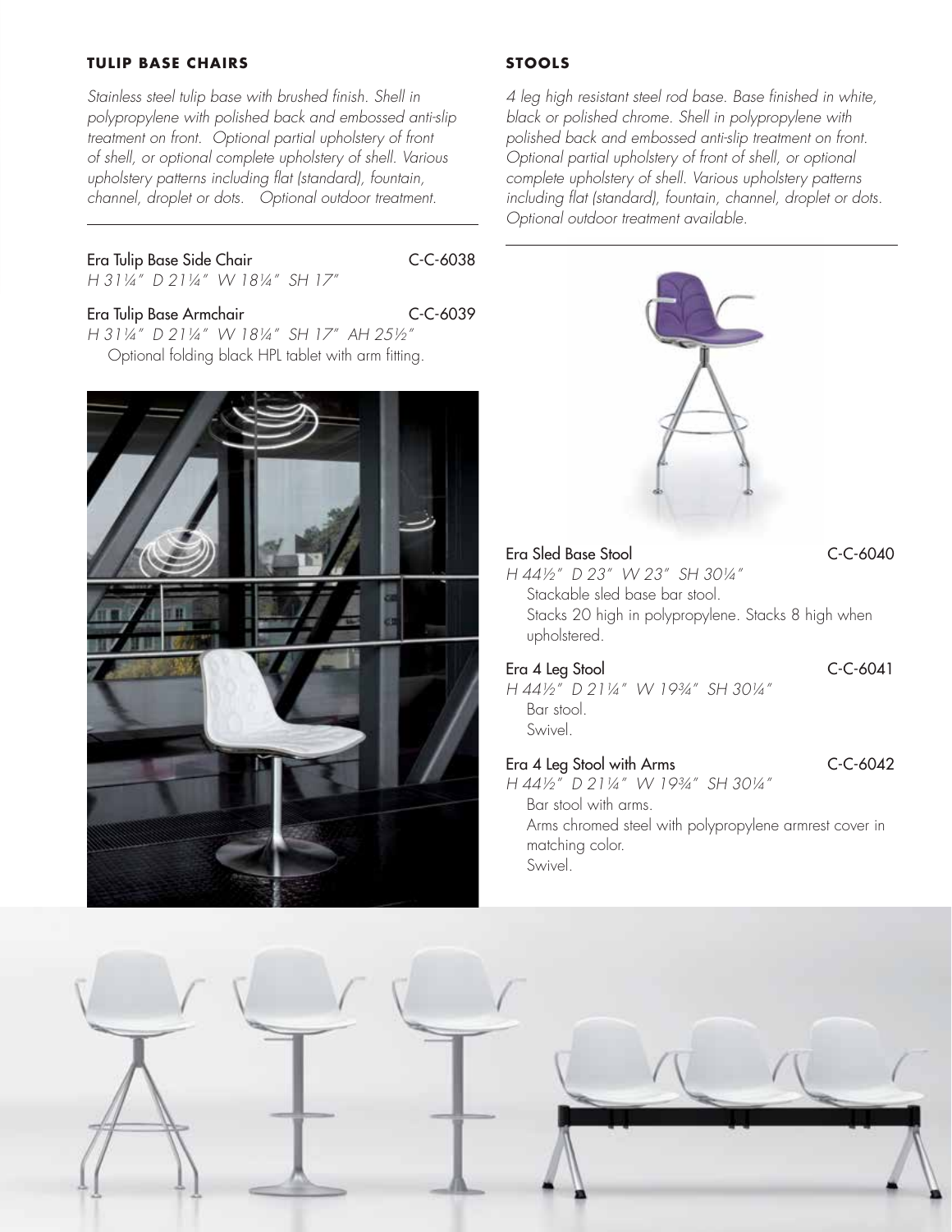### **TULIP BASE CHAIRS**

*Stainless steel tulip base with brushed finish. Shell in polypropylene with polished back and embossed anti-slip treatment on front. Optional partial upholstery of front of shell, or optional complete upholstery of shell. Various upholstery patterns including flat (standard), fountain, channel, droplet or dots. Optional outdoor treatment.* 

Era Tulip Base Side Chair C-C-6038

*H 31¼" D 21¼" W 18¼" SH 17"*

### Era Tulip Base Armchair C-C-6039

*H 31¼" D 21¼" W 18¼" SH 17" AH 25½"* Optional folding black HPL tablet with arm fitting.



## **STOOLS**

*4 leg high resistant steel rod base. Base finished in white, black or polished chrome. Shell in polypropylene with polished back and embossed anti-slip treatment on front. Optional partial upholstery of front of shell, or optional complete upholstery of shell. Various upholstery patterns including flat (standard), fountain, channel, droplet or dots. Optional outdoor treatment available.* 



| upholstered.                 |  |                |
|------------------------------|--|----------------|
| Era 4 Leg Stool              |  | $C - C - 6041$ |
| H 44½" D 21¼" W 19¾" SH 30¼" |  |                |
| Bar stool.                   |  |                |
| Swivel.                      |  |                |
|                              |  |                |

# Era 4 Leg Stool with Arms C-C-6042 *H 44½" D 21¼" W 19¾" SH 30¼"* Bar stool with arms.

Arms chromed steel with polypropylene armrest cover in matching color. Swivel.